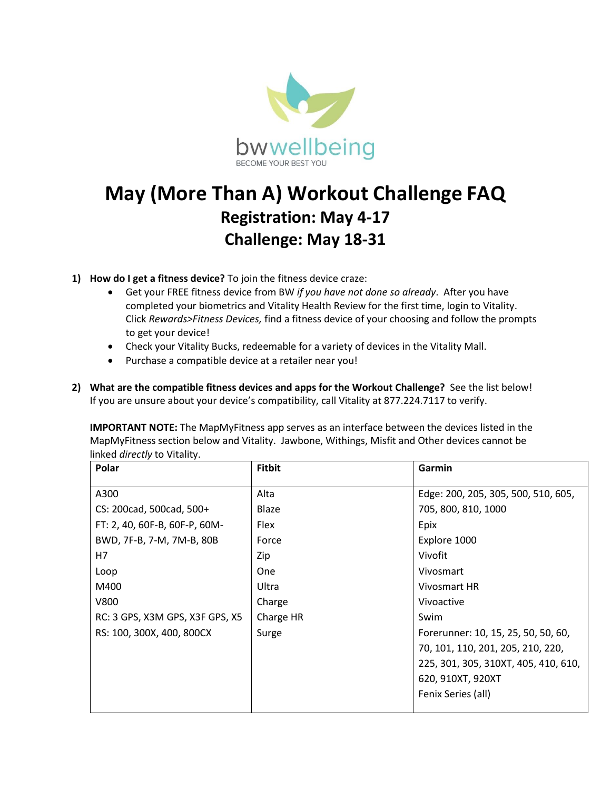

## **May (More Than A) Workout Challenge FAQ Registration: May 4-17 Challenge: May 18-31**

- **1) How do I get a fitness device?** To join the fitness device craze:
	- Get your FREE fitness device from BW *if you have not done so already*. After you have completed your biometrics and Vitality Health Review for the first time, login to Vitality. Click *Rewards>Fitness Devices,* find a fitness device of your choosing and follow the prompts to get your device!
	- Check your Vitality Bucks, redeemable for a variety of devices in the Vitality Mall.
	- Purchase a compatible device at a retailer near you!
- **2) What are the compatible fitness devices and apps for the Workout Challenge?** See the list below! If you are unsure about your device's compatibility, call Vitality at 877.224.7117 to verify.

**IMPORTANT NOTE:** The MapMyFitness app serves as an interface between the devices listed in the MapMyFitness section below and Vitality. Jawbone, Withings, Misfit and Other devices cannot be linked *directly* to Vitality.

| Polar                           | <b>Fitbit</b> | Garmin                               |
|---------------------------------|---------------|--------------------------------------|
| A300                            | Alta          | Edge: 200, 205, 305, 500, 510, 605,  |
| CS: 200cad, 500cad, 500+        | Blaze         | 705, 800, 810, 1000                  |
| FT: 2, 40, 60F-B, 60F-P, 60M-   | Flex          | Epix                                 |
| BWD, 7F-B, 7-M, 7M-B, 80B       | Force         | Explore 1000                         |
| H7                              | Zip           | Vivofit                              |
| Loop                            | <b>One</b>    | Vivosmart                            |
| M400                            | Ultra         | Vivosmart HR                         |
| V800                            | Charge        | Vivoactive                           |
| RC: 3 GPS, X3M GPS, X3F GPS, X5 | Charge HR     | Swim                                 |
| RS: 100, 300X, 400, 800CX       | Surge         | Forerunner: 10, 15, 25, 50, 50, 60,  |
|                                 |               | 70, 101, 110, 201, 205, 210, 220,    |
|                                 |               | 225, 301, 305, 310XT, 405, 410, 610, |
|                                 |               | 620, 910XT, 920XT                    |
|                                 |               | Fenix Series (all)                   |
|                                 |               |                                      |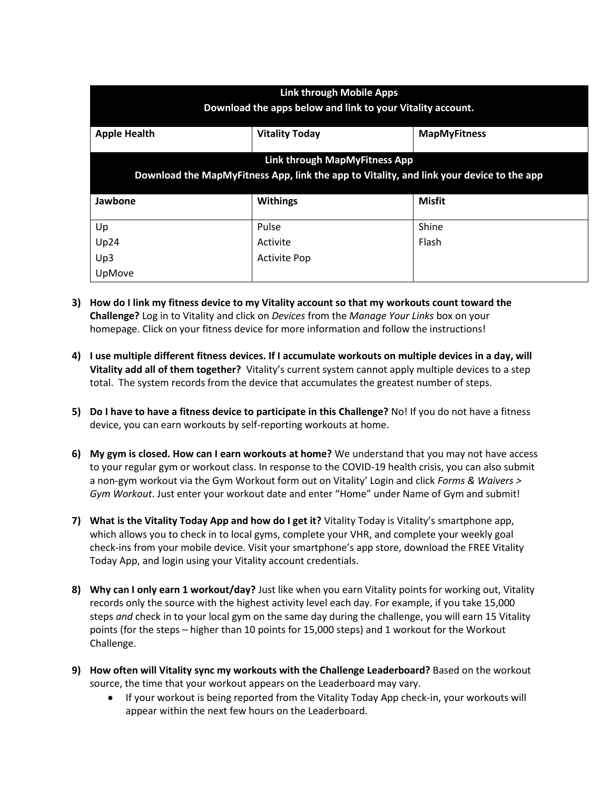| <b>Link through Mobile Apps</b><br>Download the apps below and link to your Vitality account.                             |                       |                     |  |
|---------------------------------------------------------------------------------------------------------------------------|-----------------------|---------------------|--|
| <b>Apple Health</b>                                                                                                       | <b>Vitality Today</b> | <b>MapMyFitness</b> |  |
| Link through MapMyFitness App<br>Download the MapMyFitness App, link the app to Vitality, and link your device to the app |                       |                     |  |
| Jawbone                                                                                                                   | <b>Withings</b>       | <b>Misfit</b>       |  |
| Up                                                                                                                        | Pulse                 | Shine               |  |
| Up24                                                                                                                      | Activite              | Flash               |  |
| Up3                                                                                                                       | <b>Activite Pop</b>   |                     |  |
| UpMove                                                                                                                    |                       |                     |  |

- **3) How do I link my fitness device to my Vitality account so that my workouts count toward the Challenge?** Log in to Vitality and click on *Devices* from the *Manage Your Links* box on your homepage. Click on your fitness device for more information and follow the instructions!
- **4) I use multiple different fitness devices. If I accumulate workouts on multiple devices in a day, will Vitality add all of them together?** Vitality's current system cannot apply multiple devices to a step total. The system records from the device that accumulates the greatest number of steps.
- **5) Do I have to have a fitness device to participate in this Challenge?** No! If you do not have a fitness device, you can earn workouts by self-reporting workouts at home.
- **6) My gym is closed. How can I earn workouts at home?** We understand that you may not have access to your regular gym or workout class. In response to the COVID-19 health crisis, you can also submit a non-gym workout via the Gym Workout form out on Vitality' Login and click *Forms & Waivers > Gym Workout*. Just enter your workout date and enter "Home" under Name of Gym and submit!
- **7) What is the Vitality Today App and how do I get it?** Vitality Today is Vitality's smartphone app, which allows you to check in to local gyms, complete your VHR, and complete your weekly goal check-ins from your mobile device. Visit your smartphone's app store, download the FREE Vitality Today App, and login using your Vitality account credentials.
- **8) Why can I only earn 1 workout/day?** Just like when you earn Vitality points for working out, Vitality records only the source with the highest activity level each day. For example, if you take 15,000 steps *and* check in to your local gym on the same day during the challenge, you will earn 15 Vitality points (for the steps – higher than 10 points for 15,000 steps) and 1 workout for the Workout Challenge.
- **9) How often will Vitality sync my workouts with the Challenge Leaderboard?** Based on the workout source, the time that your workout appears on the Leaderboard may vary.
	- If your workout is being reported from the Vitality Today App check-in, your workouts will appear within the next few hours on the Leaderboard.